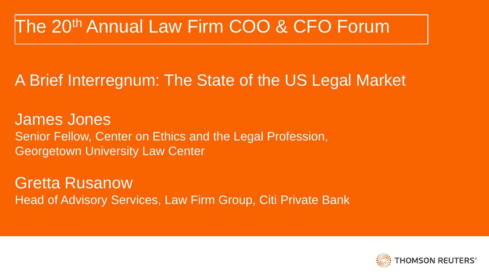## The 20th Annual Law Firm COO & CFO Forum

### A Brief Interregnum: The State of the US Legal Market

James Jones Senior Fellow, Center on Ethics and the Legal Profession, Georgetown University Law Center

Gretta Rusanow Head of Advisory Services, Law Firm Group, Citi Private Bank

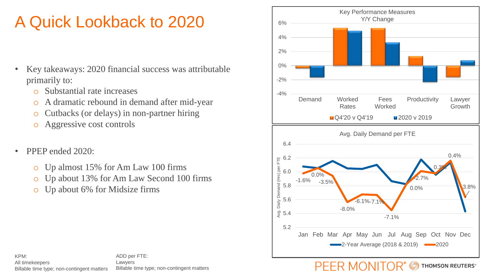### A Quick Lookback to 2020

- Key takeaways: 2020 financial success was attributable primarily to:
	- o Substantial rate increases
	- o A dramatic rebound in demand after mid-year
	- o Cutbacks (or delays) in non-partner hiring
	- o Aggressive cost controls
- PPEP ended 2020:
	- o Up almost 15% for Am Law 100 firms
	- o Up about 13% for Am Law Second 100 firms
	- o Up about 6% for Midsize firms



ADD per FTE: Lawyers Billable time type; non-contingent matters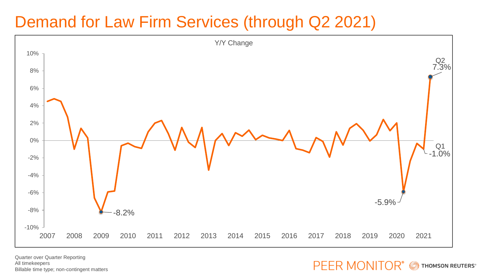### Demand for Law Firm Services (through Q2 2021)



Quarter over Quarter Reporting All timekeepers Billable time type; non-contingent matters

**PEER MONITOR® SECUTERS**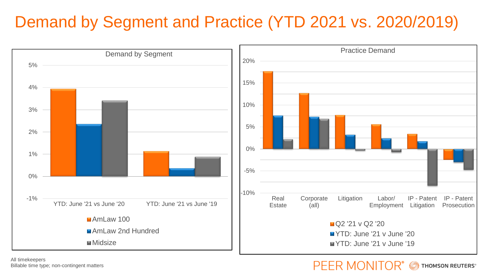### Demand by Segment and Practice (YTD 2021 vs. 2020/2019)



All timekeepers Billable time type; non-contingent matters

#### PFFR MONITO THOMSON REUTERS®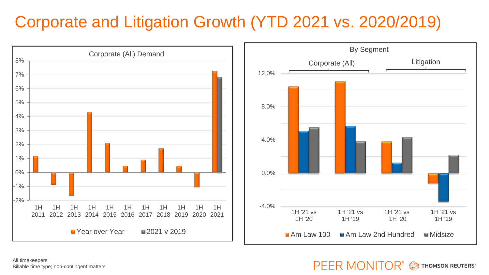### Corporate and Litigation Growth (YTD 2021 vs. 2020/2019)



All timekeepers Billable time type; non-contingent matters

#### PEER MONITOR® **THOMSON REUTERS®**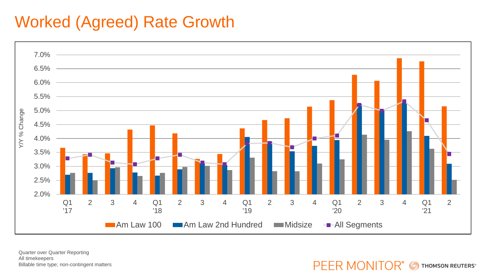### Worked (Agreed) Rate Growth



Quarter over Quarter Reporting All timekeepers Billable time type; non-contingent matters

**PEER MONITOR® SECUTERS**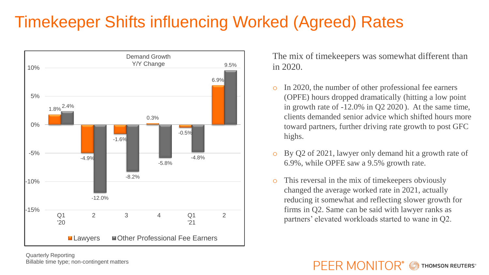### Timekeeper Shifts influencing Worked (Agreed) Rates



The mix of timekeepers was somewhat different than in 2020.

- In 2020, the number of other professional fee earners (OPFE) hours dropped dramatically (hitting a low point in growth rate of -12.0% in Q2 2020 ). At the same time, clients demanded senior advice which shifted hours more toward partners, further driving rate growth to post GFC highs.
- By Q2 of 2021, lawyer only demand hit a growth rate of 6.9%, while OPFE saw a 9.5% growth rate.
- This reversal in the mix of time keepers obviously changed the average worked rate in 2021, actually reducing it somewhat and reflecting slower growth for firms in Q2. Same can be said with lawyer ranks as partners' elevated workloads started to wane in Q2.

#### PFFR MONITOR<sup>®</sup> **THOMSON REUTERS®**

Quarterly Reporting Billable time type; non-contingent matters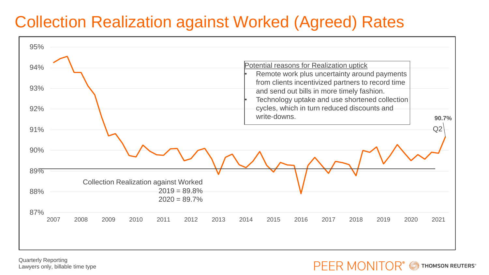### Collection Realization against Worked (Agreed) Rates



Quarterly Reporting Lawyers only, billable time type

PFFR MONITOR® **THOMSON REUTERS®**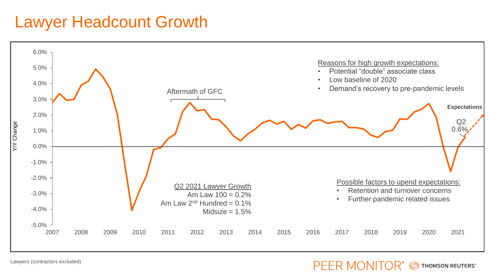### Lawyer Headcount Growth



Lawyers (contractors excluded)

#### **PEER MONITOR®** THOMSON REUTERS®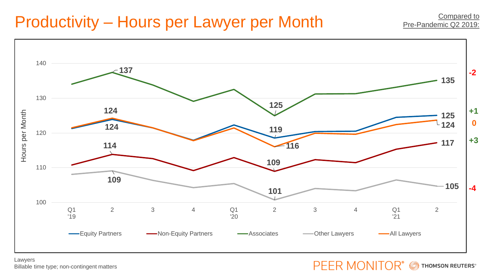### Productivity – Hours per Lawyer per Month



#### Lawyers Billable time type; non-contingent matters

#### **PEER MONITOR®** THOMSON REUTERS®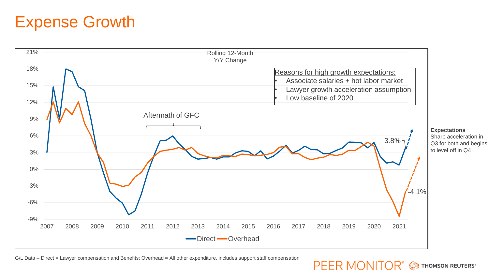### Expense Growth



#### G/L Data – Direct = Lawyer compensation and Benefits; Overhead = All other expenditure, includes support staff compensation

**PEER MONITOR® SECUTERS**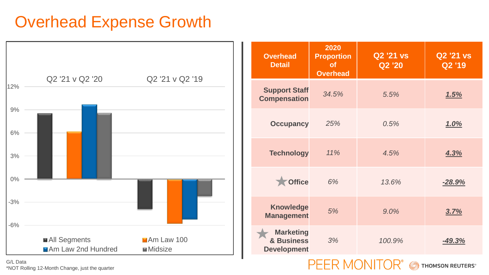### Overhead Expense Growth



| <b>Overhead</b><br><b>Detail</b>                     | 2020<br><b>Proportion</b><br><b>of</b><br><b>Overhead</b> | <b>Q2 '21 vs</b><br>Q2 '20 | <b>Q2 '21 vs</b><br>Q2 '19 |
|------------------------------------------------------|-----------------------------------------------------------|----------------------------|----------------------------|
| <b>Support Staff</b><br><b>Compensation</b>          | 34.5%                                                     | 5.5%                       | 1.5%                       |
| <b>Occupancy</b>                                     | 25%                                                       | 0.5%                       | <u>1.0%</u>                |
| <b>Technology</b>                                    | 11%                                                       | 4.5%                       | 4.3%                       |
| <b>Office</b>                                        | 6%                                                        | 13.6%                      | $-28.9%$                   |
| <b>Knowledge</b><br><b>Management</b>                | 5%                                                        | 9.0%                       | 3.7%                       |
| <b>Marketing</b><br>& Business<br><b>Development</b> | 3%                                                        | 100.9%                     | $-49.3%$                   |

PEER MONITOR®

THOMSON REUTERS®

G/L Data \*NOT Rolling 12-Month Change, just the quarter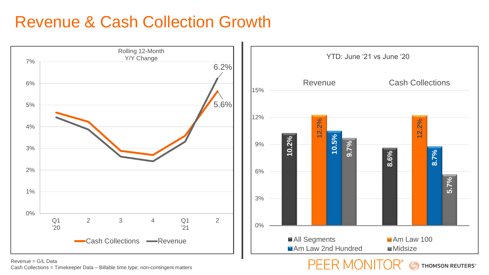### Revenue & Cash Collection Growth



PEER MONITOR

THOMSON REUTERS®

Revenue = G/L Data Cash Collections = Timekeeper Data – Billable time type; non-contingent matters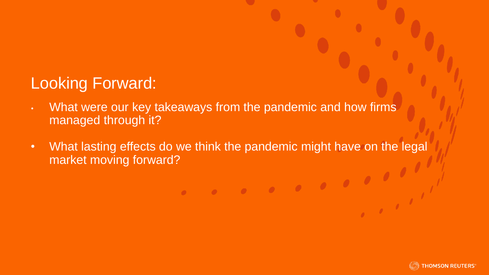### Looking Forward:

- What were our key takeaways from the pandemic and how firms managed through it?
- What lasting effects do we think the pandemic might have on the legal market moving forward?